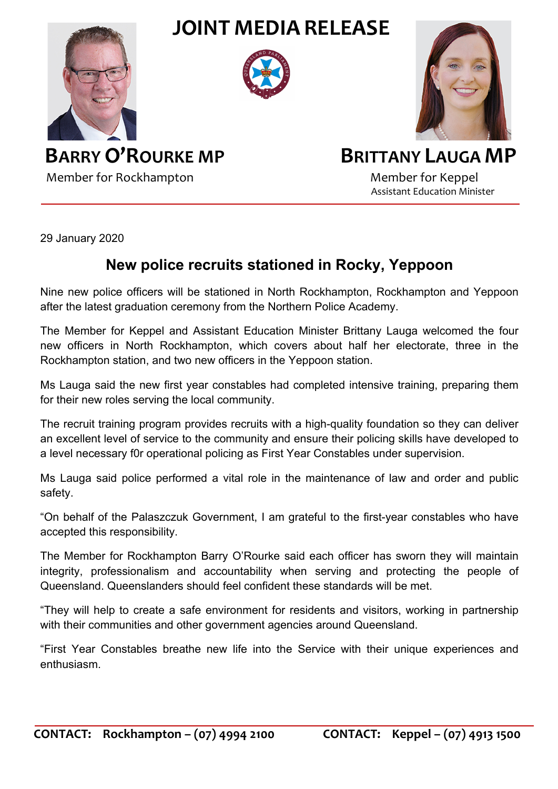**JOINT MEDIA RELEASE**







**BARRY O'ROURKE MP** BRITTANY LAUGA MP Member for Rockhampton Member for Keppel

Assistant Education Minister

29 January 2020

## **New police recruits stationed in Rocky, Yeppoon**

Nine new police officers will be stationed in North Rockhampton, Rockhampton and Yeppoon after the latest graduation ceremony from the Northern Police Academy.

The Member for Keppel and Assistant Education Minister Brittany Lauga welcomed the four new officers in North Rockhampton, which covers about half her electorate, three in the Rockhampton station, and two new officers in the Yeppoon station.

Ms Lauga said the new first year constables had completed intensive training, preparing them for their new roles serving the local community.

The recruit training program provides recruits with a high-quality foundation so they can deliver an excellent level of service to the community and ensure their policing skills have developed to a level necessary f0r operational policing as First Year Constables under supervision.

Ms Lauga said police performed a vital role in the maintenance of law and order and public safety.

"On behalf of the Palaszczuk Government, I am grateful to the first-year constables who have accepted this responsibility.

The Member for Rockhampton Barry O'Rourke said each officer has sworn they will maintain integrity, professionalism and accountability when serving and protecting the people of Queensland. Queenslanders should feel confident these standards will be met.

"They will help to create a safe environment for residents and visitors, working in partnership with their communities and other government agencies around Queensland.

"First Year Constables breathe new life into the Service with their unique experiences and enthusiasm.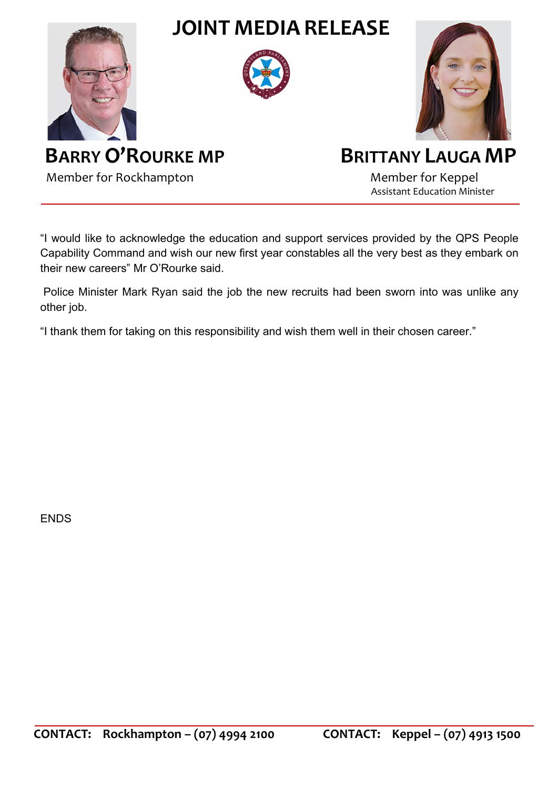

"I would like to acknowledge the education and support services provided by the QPS People Capability Command and wish our new first year constables all the very best as they embark on their new careers" Mr O'Rourke said.

Police Minister Mark Ryan said the job the new recruits had been sworn into was unlike any other job.

"I thank them for taking on this responsibility and wish them well in their chosen career."

**FNDS**